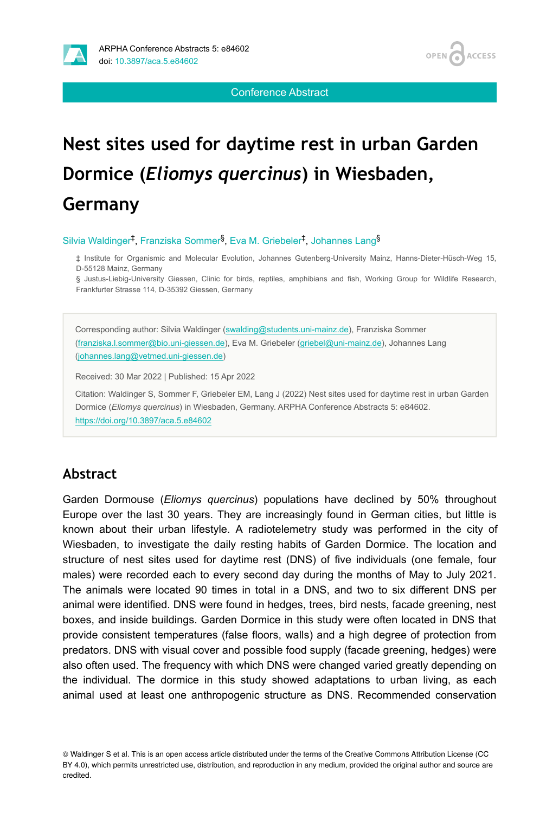

Conference Abstract

# **Nest sites used for daytime rest in urban Garden Dormice (***Eliomys quercinus***) in Wiesbaden, Germany**

Silvia Waldinger<sup>‡</sup>, Franziska Sommer<sup>§</sup>, Eva M. Griebeler<sup>‡</sup>, Johannes Lang<sup>§</sup>

‡ Institute for Organismic and Molecular Evolution, Johannes Gutenberg-University Mainz, Hanns-Dieter-Hüsch-Weg 15, D-55128 Mainz, Germany

§ Justus-Liebig-University Giessen, Clinic for birds, reptiles, amphibians and fish, Working Group for Wildlife Research, Frankfurter Strasse 114, D-35392 Giessen, Germany

Corresponding author: Silvia Waldinger ([swalding@students.uni-mainz.de\)](mailto:swalding@students.uni-mainz.de), Franziska Sommer [\(franziska.l.sommer@bio.uni-giessen.de\)](mailto:franziska.l.sommer@bio.uni-giessen.de), Eva M. Griebeler ([griebel@uni-mainz.de](mailto:griebel@uni-mainz.de)), Johannes Lang [\(johannes.lang@vetmed.uni-giessen.de](mailto:johannes.lang@vetmed.uni-giessen.de))

Received: 30 Mar 2022 | Published: 15 Apr 2022

Citation: Waldinger S, Sommer F, Griebeler EM, Lang J (2022) Nest sites used for daytime rest in urban Garden Dormice (*Eliomys quercinus*) in Wiesbaden, Germany. ARPHA Conference Abstracts 5: e84602. <https://doi.org/10.3897/aca.5.e84602>

### **Abstract**

Garden Dormouse (*Eliomys quercinus*) populations have declined by 50% throughout Europe over the last 30 years. They are increasingly found in German cities, but little is known about their urban lifestyle. A radiotelemetry study was performed in the city of Wiesbaden, to investigate the daily resting habits of Garden Dormice. The location and structure of nest sites used for daytime rest (DNS) of five individuals (one female, four males) were recorded each to every second day during the months of May to July 2021. The animals were located 90 times in total in a DNS, and two to six different DNS per animal were identified. DNS were found in hedges, trees, bird nests, facade greening, nest boxes, and inside buildings. Garden Dormice in this study were often located in DNS that provide consistent temperatures (false floors, walls) and a high degree of protection from predators. DNS with visual cover and possible food supply (facade greening, hedges) were also often used. The frequency with which DNS were changed varied greatly depending on the individual. The dormice in this study showed adaptations to urban living, as each animal used at least one anthropogenic structure as DNS. Recommended conservation

© Waldinger S et al. This is an open access article distributed under the terms of the Creative Commons Attribution License (CC BY 4.0), which permits unrestricted use, distribution, and reproduction in any medium, provided the original author and source are credited.